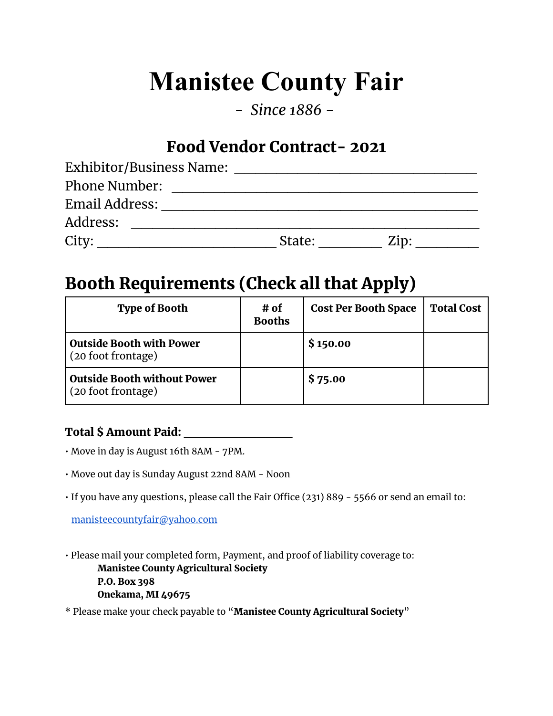# **Manistee County Fair**

*- Since 1886 -*

## Food Vendor Contract- 2021

| Exhibitor/Business Name: |        |      |  |
|--------------------------|--------|------|--|
| <b>Phone Number:</b>     |        |      |  |
| Email Address:           |        |      |  |
| Address:                 |        |      |  |
| City:                    | State: | Zip: |  |

# Booth Requirements (Check all that Apply)

| <b>Type of Booth</b>                                  | # of<br><b>Booths</b> | <b>Cost Per Booth Space</b> | <b>Total Cost</b> |
|-------------------------------------------------------|-----------------------|-----------------------------|-------------------|
| <b>Outside Booth with Power</b><br>(20 foot frontage) |                       | \$150.00                    |                   |
| Outside Booth without Power<br>(20 foot frontage)     |                       | \$75.00                     |                   |

#### Total \$ Amount Paid: \_\_\_\_\_\_\_\_\_\_\_\_

- Move in day is August 16th 8AM 7PM.
- Move out day is Sunday August 22nd 8AM Noon
- If you have any questions, please call the Fair Office (231) 889 5566 or send an email to:

[manisteecountyfair@yahoo.com](mailto:manisteecountyfair@yahoo.com)

• Please mail your completed form, Payment, and proof of liability coverage to: Manistee County Agricultural Society P.O. Box 398 Onekama, MI 49675

\* Please make your check payable to "Manistee County Agricultural Society"